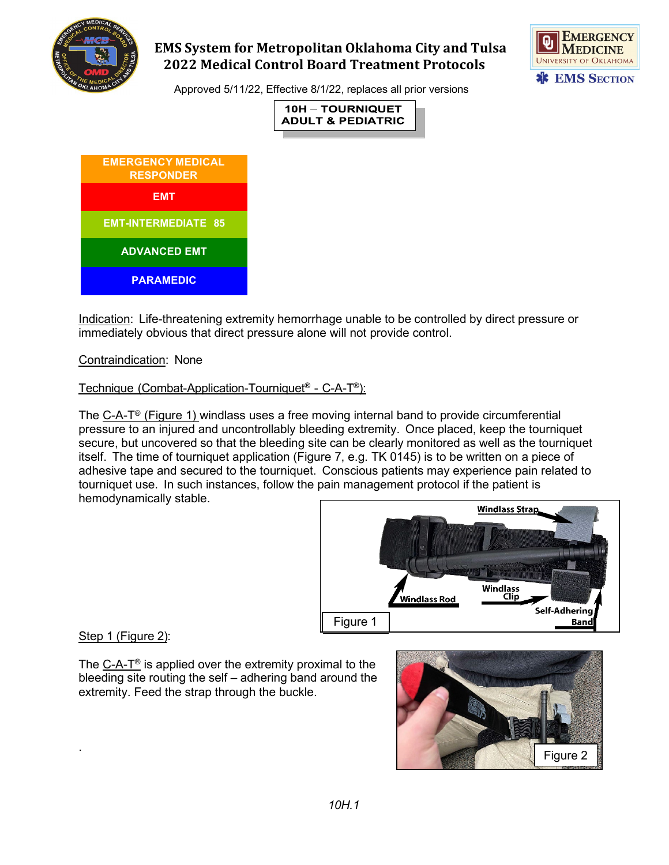

# **EMS System for Metropolitan Oklahoma City and Tulsa 2022 Medical Control Board Treatment Protocols**



Approved 5/11/22, Effective 8/1/22, replaces all prior versions





Indication: Life-threatening extremity hemorrhage unable to be controlled by direct pressure or immediately obvious that direct pressure alone will not provide control.

### Contraindication: None

### Technique (Combat-Application-Tourniquet® - C-A-T®):

The C-A-T® (Figure 1) windlass uses a free moving internal band to provide circumferential pressure to an injured and uncontrollably bleeding extremity. Once placed, keep the tourniquet secure, but uncovered so that the bleeding site can be clearly monitored as well as the tourniquet itself. The time of tourniquet application (Figure 7, e.g. TK 0145) is to be written on a piece of adhesive tape and secured to the tourniquet. Conscious patients may experience pain related to tourniquet use. In such instances, follow the pain management protocol if the patient is hemodynamically stable.



### Step 1 (Figure 2):

The C-A-T® is applied over the extremity proximal to the bleeding site routing the self – adhering band around the extremity. Feed the strap through the buckle.

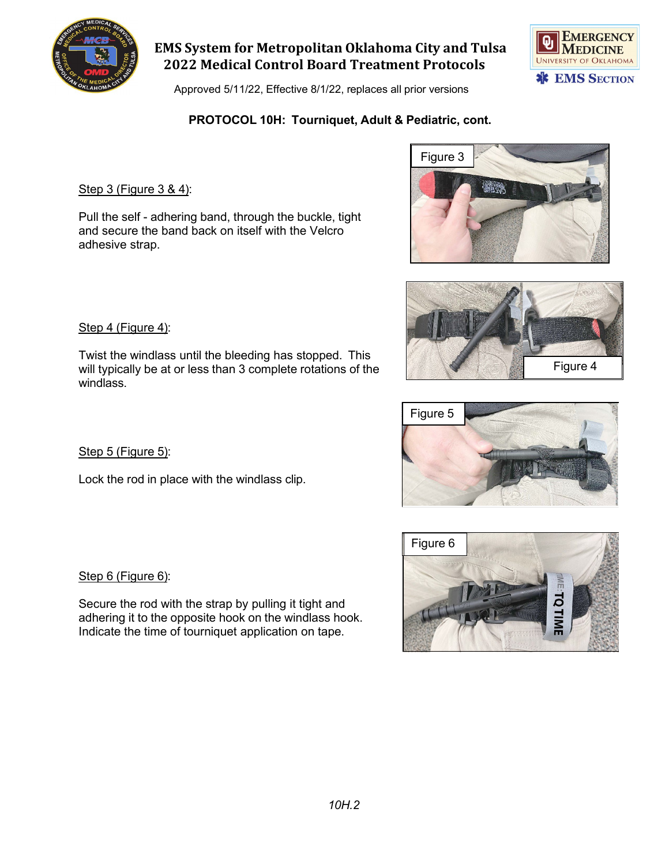

**EMS System for Metropolitan Oklahoma City and Tulsa 2022 Medical Control Board Treatment Protocols**

Approved 5/11/22, Effective 8/1/22, replaces all prior versions

## **PROTOCOL 10H: Tourniquet, Adult & Pediatric, cont.**

### Step 3 (Figure 3 & 4):

Pull the self - adhering band, through the buckle, tight and secure the band back on itself with the Velcro adhesive strap.

#### Step 4 (Figure 4):

Twist the windlass until the bleeding has stopped. This will typically be at or less than 3 complete rotations of the windlass.

Step 5 (Figure 5):

Lock the rod in place with the windlass clip.

Step 6 (Figure 6):

Secure the rod with the strap by pulling it tight and adhering it to the opposite hook on the windlass hook. Indicate the time of tourniquet application on tape.